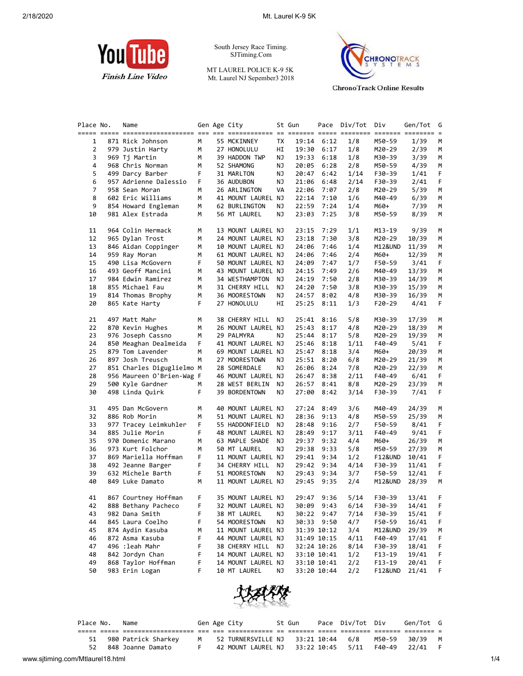

South Jersey Race Timing. SJTiming.Com

MT LAUREL POLICE K-9 5K Mt. Laurel NJ Sepember3 2018



**ChronoTrack Online Results** 

| Place No.      | Name                      |    | Gen Age City       |    | St Gun |             | Pace Div/Tot | Div        | Gen/Tot | G  |
|----------------|---------------------------|----|--------------------|----|--------|-------------|--------------|------------|---------|----|
| 1              | 871 Rick Johnson          | М  | 55 MCKINNEY        | TX | 19:14  | 6:12        | 1/8          | M50-59     | 1/39    | М  |
| 2              | 979 Justin Harty          | М  | 27 HONOLULU        | HI | 19:30  | 6:17        | 1/8          | M20-29     | 2/39    | M  |
| 3              | 969 Tj Martin             | М  | 39 HADDON TWP      | ΝJ | 19:33  | 6:18        | 1/8          | M30-39     | 3/39    | M  |
| 4              | 968 Chris Norman          | М  | 52 SHAMONG         | ΝJ | 20:05  | 6:28        | 2/8          | M50-59     | 4/39    | M  |
| 5              | 499 Darcy Barber          | F  | 31 MARLTON         | ΝJ | 20:47  | 6:42        | 1/14         | F30-39     | 1/41    | F  |
| 6              | 957 Adrienne Dalessio     | F  | 36 AUDUBON         | ΝJ | 21:06  | 6:48        | 2/14         | F30-39     | 2/41    | F  |
| $\overline{7}$ | 958 Sean Moran            | М  | 26 ARLINGTON       | VA | 22:06  | 7:07        | 2/8          | M20-29     | 5/39    | М  |
| 8              | 602 Eric Williams         | М  | 41 MOUNT LAUREL NJ |    | 22:14  | 7:10        | 1/6          | M40-49     | 6/39    | M  |
| 9              | 854 Howard Engleman       | М  | 62 BURLINGTON      | ΝJ | 22:59  | 7:24        | 1/4          | M60+       | 7/39    | M  |
| 10             | 981 Alex Estrada          | М  | 56 MT LAUREL       | ΝJ | 23:03  | 7:25        | 3/8          | M50-59     | 8/39    | M  |
|                |                           |    |                    |    |        |             |              |            |         |    |
| 11             | 964 Colin Hermack         | М  | 13 MOUNT LAUREL NJ |    | 23:15  | 7:29        | 1/1          | M13-19     | 9/39    | M  |
| 12             | 965 Dylan Trost           | м  | 24 MOUNT LAUREL NJ |    | 23:18  | 7:30        | 3/8          | M20-29     | 10/39   | M  |
| 13             | 846 Aidan Coppinger       | М  | 10 MOUNT LAUREL NJ |    | 24:06  | 7:46        | 1/4          | M12&UND    | 11/39   | M  |
| 14             | 959 Ray Moran             | м  | 61 MOUNT LAUREL NJ |    | 24:06  | 7:46        | 2/4          | M60+       | 12/39   | M  |
| 15             | 490 Lisa McGovern         | F  | 50 MOUNT LAUREL NJ |    | 24:09  | 7:47        | 1/7          | F50-59     | 3/41    | F  |
| 16             | 493 Geoff Mancini         | м  | 43 MOUNT LAUREL NJ |    | 24:15  | 7:49        | 2/6          | M40-49     | 13/39   | M  |
| 17             | 984 Edwin Ramirez         | м  | 34 WESTHAMPTON     | ΝJ | 24:19  | 7:50        | 2/8          | M30-39     | 14/39   | M  |
| 18             | 855 Michael Fau           | м  | 31 CHERRY HILL     | ΝJ | 24:20  | 7:50        | 3/8          | M30-39     | 15/39   | M  |
| 19             | 814 Thomas Brophy         | М  | 36 MOORESTOWN      | ΝJ | 24:57  | 8:02        | 4/8          | M30-39     | 16/39   | M  |
| 20             | 865 Kate Harty            | F  | 27 HONOLULU        | HI | 25:25  | 8:11        | 1/3          | F20-29     | 4/41    | F  |
|                |                           |    |                    |    |        |             |              |            |         |    |
| 21             | 497 Matt Mahr             | м  | 38 CHERRY HILL     | ΝJ | 25:41  | 8:16        | 5/8          | M30-39     | 17/39   | M  |
| 22             | 870 Kevin Hughes          | М  | 26 MOUNT LAUREL NJ |    | 25:43  | 8:17        | 4/8          | M20-29     | 18/39   | M  |
| 23             | 976 Joseph Cassno         | М  | 29 PALMYRA         | ΝJ | 25:44  | 8:17        | 5/8          | M20-29     | 19/39   | M  |
| 24             | 850 Meaghan Dealmeida     | F  | 41 MOUNT LAUREL NJ |    | 25:46  | 8:18        | 1/11         | F40-49     | 5/41    | F  |
| 25             | 879 Tom Lavender          | м  | 69 MOUNT LAUREL NJ |    | 25:47  | 8:18        | 3/4          | M60+       | 20/39   | M  |
| 26             | 897 Josh Treusch          | м  | 27 MOORESTOWN      | ΝJ | 25:51  | 8:20        | 6/8          | M20-29     | 21/39   | M  |
| 27             | 851 Charles Diguglielmo M |    | 28 SOMERDALE       | ΝJ | 26:06  | 8:24        | 7/8          | M20-29     | 22/39   | M  |
| 28             | 956 Maureen O'Brien-Wag F |    | 46 MOUNT LAUREL NJ |    | 26:47  | 8:38        | 2/11         | F40-49     | 6/41    | F  |
| 29             | 500 Kyle Gardner          | м  | 28 WEST BERLIN     | ΝJ | 26:57  | 8:41        | 8/8          | M20-29     | 23/39   | М  |
| 30             | 498 Linda Quirk           | F  | 39 BORDENTOWN      | ΝJ | 27:00  | 8:42        | 3/14         | F30-39     | 7/41    | F  |
|                |                           |    |                    |    |        |             |              |            |         |    |
| 31             | 495 Dan McGovern          | М  | 40 MOUNT LAUREL NJ |    | 27:24  | 8:49        | 3/6          | M40-49     | 24/39   | M  |
| 32             | 886 Rob Morin             | м  | 51 MOUNT LAUREL NJ |    | 28:36  | 9:13        | 4/8          | M50-59     | 25/39   | M  |
| 33             | 977 Tracey Leimkuhler     | F  | 55 HADDONFIELD     | ΝJ | 28:48  | 9:16        | 2/7          | F50-59     | 8/41    | F  |
| 34             | 885 Julie Morin           | F  | 48 MOUNT LAUREL NJ |    | 28:49  | 9:17        | 3/11         | F40-49     | 9/41    | F  |
| 35             | 970 Domenic Marano        | М  | 63 MAPLE SHADE     | ΝJ | 29:37  | 9:32        | 4/4          | M60+       | 26/39   | M  |
| 36             | 973 Kurt Folchor          | м  | 50 MT LAUREL       | ΝJ | 29:38  | 9:33        | 5/8          | M50-59     | 27/39   | M  |
| 37             | 869 Mariella Hoffman      | F  | 11 MOUNT LAUREL NJ |    | 29:41  | 9:34        | 1/2          | F12&UND    | 10/41   | F  |
| 38             | 492 Jeanne Barger         | F  | 34 CHERRY HILL     | ΝJ | 29:42  | 9:34        | 4/14         | F30-39     | 11/41   | F  |
| 39             | 632 Michele Barth         | F  | 51 MOORESTOWN      | ΝJ | 29:43  | 9:34        | 3/7          | F50-59     | 12/41   | F. |
| 40             | 849 Luke Damato           | м  | 11 MOUNT LAUREL NJ |    | 29:45  | 9:35        | 2/4          | M12&UND    | 28/39   | М  |
|                |                           |    |                    |    |        |             |              |            |         |    |
| 41             | 867 Courtney Hoffman      | F. | 35 MOUNT LAUREL NJ |    | 29:47  | 9:36        | 5/14         | F30-39     | 13/41   | F. |
| 42             | 888 Bethany Pacheco       | F  | 32 MOUNT LAUREL NJ |    |        | 30:09 9:43  | 6/14         | F30-39     | 14/41   | F  |
| 43             | 982 Dana Smith            | F  | 38 MT LAUREL       | ΝJ | 30:22  | 9:47        | 7/14         | F30-39     | 15/41   | F  |
| 44             | 845 Laura Coelho          | F  | 54 MOORESTOWN      | ΝJ | 30:33  | 9:50        | 4/7          | F50-59     | 16/41   | F  |
| 45             | 874 Aydin Kasuba          | м  | 11 MOUNT LAUREL NJ |    |        | 31:39 10:12 | 3/4          | M12&UND    | 29/39   | M  |
| 46             | 872 Asma Kasuba           | F  | 44 MOUNT LAUREL NJ |    |        | 31:49 10:15 | 4/11         | F40-49     | 17/41   | F  |
| 47             | 496 :leah Mahr            | F  | 38 CHERRY HILL     | ΝJ |        | 32:24 10:26 | 8/14         | F30-39     | 18/41   | F  |
| 48             | 842 Jordyn Chan           | F  | 14 MOUNT LAUREL NJ |    |        | 33:10 10:41 | 1/2          | $F13 - 19$ | 19/41   | F  |
| 49             | 868 Taylor Hoffman        | F  | 14 MOUNT LAUREL NJ |    |        | 33:10 10:41 | 2/2          | $F13-19$   | 20/41   | F  |
| 50             | 983 Erin Logan            | F  | 10 MT LAUREL       | ΝJ |        | 33:20 10:44 | 2/2          | F12&UND    | 21/41   | F  |
|                |                           |    |                    |    |        |             |              |            |         |    |



|  | Place No. Name |                        |  | Gen Age City                                                    | St Gun | Pace Div/Tot Div | Gen/Tot G |  |
|--|----------------|------------------------|--|-----------------------------------------------------------------|--------|------------------|-----------|--|
|  |                |                        |  |                                                                 |        |                  |           |  |
|  |                | 51 980 Patrick Sharkey |  | M   52 TURNERSVILLE NJ   33:21 10:44   6/8   M50-59   30/39   M |        |                  |           |  |
|  |                | 52 848 Joanne Damato   |  | 42 MOUNT LAUREL NJ 33:22 10:45  5/11  F40-49  22/41  F          |        |                  |           |  |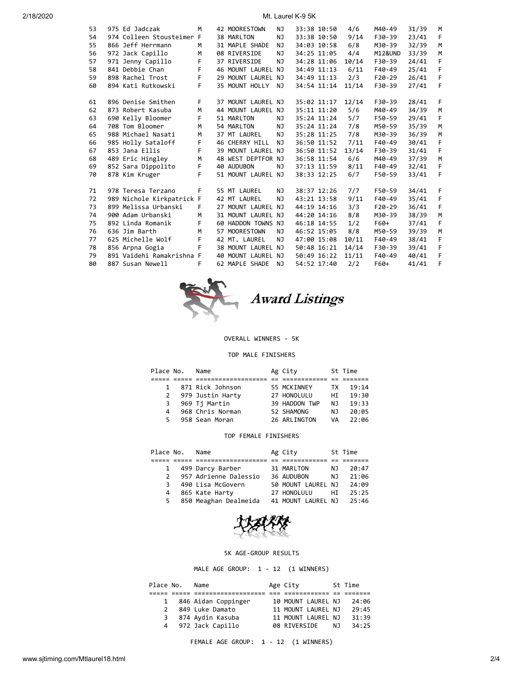2/18/2020 Mt. Laurel K-9 5K

| 53 | 975 Ed Jadczak            | M  | 42 MOORESTOWN      | NJ        | 33:38 10:50 | 4/6   | M40-49   | 31/39 | M            |
|----|---------------------------|----|--------------------|-----------|-------------|-------|----------|-------|--------------|
| 54 | 974 Colleen Stousteimer F |    | 38 MARLTON         | NJ        | 33:38 10:50 | 9/14  | F30-39   | 23/41 | F            |
| 55 | 866 Jeff Herrmann         | M  | 31 MAPLE SHADE     | NJ        | 34:03 10:58 | 6/8   | M30-39   | 32/39 | M            |
| 56 | 972 Jack Capillo          | M  | 08 RIVERSIDE       | NJ.       | 34:25 11:05 | 4/4   | M12&UND  | 33/39 | M            |
| 57 | 971 Jenny Capillo         | F. | 37 RIVERSIDE       | NJ        | 34:28 11:06 | 10/14 | F30-39   | 24/41 | F            |
| 58 | 841 Debbie Chan           | F  | 46 MOUNT LAUREL NJ |           | 34:49 11:13 | 6/11  | F40-49   | 25/41 | F            |
| 59 | 898 Rachel Trost          | F. | 29 MOUNT LAUREL NJ |           | 34:49 11:13 | 2/3   | $F20-29$ | 26/41 | F            |
| 60 | 894 Kati Rutkowski        | F  | 35 MOUNT HOLLY NJ  |           | 34:54 11:14 | 11/14 | F30-39   | 27/41 | F            |
|    |                           |    |                    |           |             |       |          |       |              |
| 61 | 896 Denise Smithen        | F. | 37 MOUNT LAUREL NJ |           | 35:02 11:17 | 12/14 | F30-39   | 28/41 | F            |
| 62 | 873 Robert Kasuba         | M  | 44 MOUNT LAUREL NJ |           | 35:11 11:20 | 5/6   | M40-49   | 34/39 | M            |
| 63 | 690 Kelly Bloomer         | F. | 51 MARLTON         | NJ        | 35:24 11:24 | 5/7   | F50-59   | 29/41 | F            |
| 64 | 708 Tom Bloomer           | M  | 54 MARLTON         | <b>NJ</b> | 35:24 11:24 | 7/8   | M50-59   | 35/39 | M            |
| 65 | 988 Michael Nasati        | M  | 37 MT LAUREL       | <b>NJ</b> | 35:28 11:25 | 7/8   | M30-39   | 36/39 | M            |
| 66 | 985 Holly Sataloff        | F  | 46 CHERRY HILL     | <b>NJ</b> | 36:50 11:52 | 7/11  | F40-49   | 30/41 | F            |
| 67 | 853 Jana Ellis            | F  | 39 MOUNT LAUREL NJ |           | 36:50 11:52 | 13/14 | F30-39   | 31/41 | F            |
| 68 | 489 Eric Hingley          | M  | 48 WEST DEPTFOR NJ |           | 36:58 11:54 | 6/6   | M40-49   | 37/39 | M            |
| 69 | 852 Sara Dippolito        | F. | 40 AUDUBON         | NJ        | 37:13 11:59 | 8/11  | F40-49   | 32/41 | F            |
| 70 | 878 Kim Kruger            | F  | 51 MOUNT LAUREL NJ |           | 38:33 12:25 | 6/7   | F50-59   | 33/41 | F            |
|    |                           |    |                    |           |             |       |          |       |              |
| 71 | 978 Teresa Terzano        | F  | 55 MT LAUREL       | <b>NJ</b> | 38:37 12:26 | 7/7   | F50-59   | 34/41 | F            |
| 72 | 989 Nichole Kirkpatrick F |    | 42 MT LAUREL       | NJ        | 43:21 13:58 | 9/11  | F40-49   | 35/41 | F            |
| 73 | 899 Melissa Urbanski      | F  | 27 MOUNT LAUREL NJ |           | 44:19 14:16 | 3/3   | $F20-29$ | 36/41 | F            |
| 74 | 900 Adam Urbanski         | M  | 31 MOUNT LAUREL NJ |           | 44:20 14:16 | 8/8   | M30-39   | 38/39 | M            |
| 75 | 892 Linda Romanik         | F. | 60 HADDON TOWNS NJ |           | 46:18 14:55 | 1/2   | F60+     | 37/41 | F            |
| 76 | 636 Jim Barth             | M  | 57 MOORESTOWN      | NJ.       | 46:52 15:05 | 8/8   | M50-59   | 39/39 | M            |
| 77 | 625 Michelle Wolf         | F. | 42 MT. LAUREL      | NJ.       | 47:00 15:08 | 10/11 | F40-49   | 38/41 | F            |
| 78 | 856 Arpna Gogia           | F  | 38 MOUNT LAUREL NJ |           | 50:48 16:21 | 14/14 | F30-39   | 39/41 | $\mathsf{F}$ |
| 79 | 891 Vaidehi Ramakrishna F |    | 40 MOUNT LAUREL NJ |           | 50:49 16:22 | 11/11 | $F40-49$ | 40/41 | F            |
| 80 | 887 Susan Newell          | F  | 62 MAPLE SHADE     | NJ        | 54:52 17:40 | 2/2   | F60+     | 41/41 | F            |
|    |                           |    |                    |           |             |       |          |       |              |



## OVERALL WINNERS - 5K

## TOP MALE FINISHERS

| Place No. | Name             | Ag City       |     | St Time |
|-----------|------------------|---------------|-----|---------|
|           |                  |               |     |         |
| 1         | 871 Rick Johnson | 55 MCKINNEY   | TX  | 19:14   |
| 2         | 979 Justin Harty | 27 HONOLULU   | HT. | 19:30   |
| 3         | 969 Tj Martin    | 39 HADDON TWP | NJ. | 19:33   |
| 4         | 968 Chris Norman | 52 SHAMONG    | ΝJ  | 20:05   |
| 5.        | 958 Sean Moran   | 26 ARLINGTON  | VA  | 22:96   |

## TOP FEMALE FINISHERS

| Place No. |               | Name                  | Ag City            |     | St Time |
|-----------|---------------|-----------------------|--------------------|-----|---------|
|           |               |                       |                    |     |         |
|           | $\mathbf{1}$  | 499 Darcy Barber      | 31 MARLTON         | NJ. | 20:47   |
|           | $\mathcal{P}$ | 957 Adrienne Dalessio | 36 AUDUBON         | NJ  | 21:06   |
|           | 3             | 490 Lisa McGovern     | 50 MOUNT LAUREL NJ |     | 24:09   |
|           | 4             | 865 Kate Harty        | 27 HONOLULU        | HI  | 25:25   |
|           | 5.            | 850 Meaghan Dealmeida | 41 MOUNT LAUREL NJ |     | 25:46   |



## 5K AGE-GROUP RESULTS

MALE AGE GROUP: 1 - 12 (1 WINNERS)

| Place No.     | Name                | Age City     |                    |     | St Time |  |
|---------------|---------------------|--------------|--------------------|-----|---------|--|
|               |                     |              |                    |     |         |  |
| 1             | 846 Aidan Coppinger |              | 10 MOUNT LAUREL NJ |     | 24:06   |  |
| $\mathcal{P}$ | 849 Luke Damato     |              | 11 MOUNT LAUREL NJ |     | 29:45   |  |
| 3             | 874 Aydin Kasuba    |              | 11 MOUNT LAUREL NJ |     | 31:39   |  |
| 4             | 972 Jack Capillo    | 08 RIVERSIDE |                    | NJ. | 34:25   |  |

FEMALE AGE GROUP: 1 - 12 (1 WINNERS)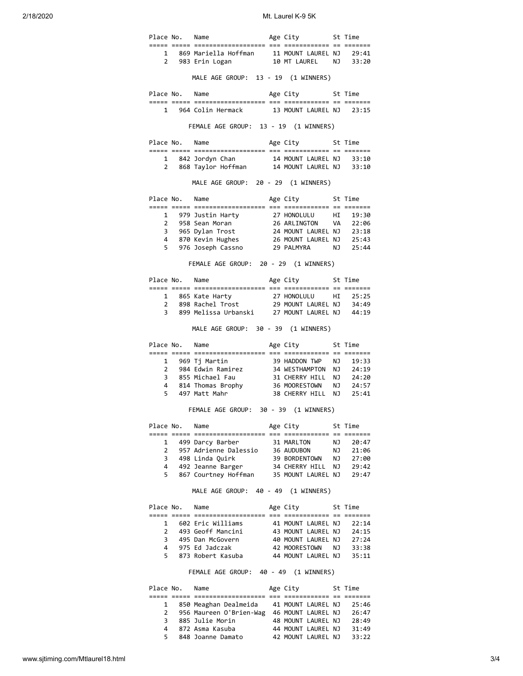2/18/2020 Mt. Laurel K-9 5K

| Place No. Name |                                                                                                                                                                                        | Age City 5t Time         |      |         |
|----------------|----------------------------------------------------------------------------------------------------------------------------------------------------------------------------------------|--------------------------|------|---------|
|                |                                                                                                                                                                                        |                          |      |         |
|                | 1 869 Mariella Hoffman 11 MOUNT LAUREL NJ 29:41<br>2 983 Erin Logan 10 MT LAUREL NJ 33:20                                                                                              |                          |      |         |
|                | MALE AGE GROUP: 13 - 19 (1 WINNERS)                                                                                                                                                    |                          |      |         |
|                | Place No. Name                                                                                                                                                                         | Age City 5t Time         |      |         |
|                | 1 964 Colin Hermack 13 MOUNT LAUREL NJ 23:15                                                                                                                                           |                          |      |         |
|                | FEMALE AGE GROUP: 13 - 19 (1 WINNERS)                                                                                                                                                  |                          |      |         |
| Place No. Name |                                                                                                                                                                                        | Age City 5t Time         |      |         |
|                | 1 842 Jordyn Chan 14 MOUNT LAUREL NJ 33:10<br>2 868 Taylor Hoffman 14 MOUNT LAUREL NJ 33:10                                                                                            |                          |      |         |
|                | MALE AGE GROUP: 20 - 29 (1 WINNERS)                                                                                                                                                    |                          |      |         |
|                | Place No. Name                                                                                                                                                                         | Age City 5t Time         |      |         |
|                |                                                                                                                                                                                        |                          |      |         |
|                |                                                                                                                                                                                        |                          |      |         |
|                |                                                                                                                                                                                        |                          |      |         |
|                |                                                                                                                                                                                        |                          |      |         |
|                |                                                                                                                                                                                        |                          |      |         |
|                | FEMALE AGE GROUP: 20 - 29 (1 WINNERS)                                                                                                                                                  |                          |      |         |
|                | Place No. Name                                                                                                                                                                         | Age City 5t Time         |      |         |
|                |                                                                                                                                                                                        |                          |      |         |
|                |                                                                                                                                                                                        |                          |      |         |
|                | 1 865 Kate Harty 27 HONOLULU HI 25:25<br>2 898 Rachel Trost 29 MOUNT LAUREL NJ 34:49<br>3 899 Melissa Urbanski 27 MOUNT LAUREL NJ 44:19                                                |                          |      |         |
|                | MALE AGE GROUP: 30 - 39 (1 WINNERS)                                                                                                                                                    |                          |      |         |
|                | Place No. Name                                                                                                                                                                         | Age City 5t Time         |      |         |
|                |                                                                                                                                                                                        |                          |      |         |
|                |                                                                                                                                                                                        |                          |      |         |
|                |                                                                                                                                                                                        |                          |      |         |
|                | 3 855 Michael Fau 31 CHERRY HILL NJ 24:20<br>4 814 Thomas Brophy 36 MOORESTOWN NJ 24:57<br>5 497 Matt Mahr 38 CHERRY HILL NJ 25:41                                                     |                          |      |         |
|                |                                                                                                                                                                                        |                          |      |         |
|                | FEMALE AGE GROUP: 30 - 39 (1 WINNERS)                                                                                                                                                  |                          |      |         |
| Place No. Name |                                                                                                                                                                                        | Age City                 |      | St Time |
|                | 1 499 Darcy Barber                                                                                                                                                                     | 31 MARLTON               | NJ 1 | 20:47   |
|                | 2 957 Adrienne Dalessio 36 AUDUBON NJ 21:06                                                                                                                                            |                          |      |         |
|                | 3 498 Linda Quirk 39 BORDENTOWN NJ 27:00<br>4 492 Jeanne Barger 34 CHERRY HILL NJ 29:42                                                                                                |                          |      |         |
|                |                                                                                                                                                                                        |                          |      |         |
|                | 5 867 Courtney Hoffman 35 MOUNT LAUREL NJ 29:47                                                                                                                                        |                          |      |         |
|                | MALE AGE GROUP: 40 - 49 (1 WINNERS)                                                                                                                                                    |                          |      |         |
| Place No. Name |                                                                                                                                                                                        | Age City 5t Time         |      |         |
|                |                                                                                                                                                                                        |                          |      |         |
|                |                                                                                                                                                                                        |                          |      |         |
|                |                                                                                                                                                                                        |                          |      |         |
|                | 1 602 Eric Williams 41 MOUNT LAUREL NJ 22:14<br>2 493 Geoff Mancini 43 MOUNT LAUREL NJ 24:15<br>3 495 Dan McGovern 40 MOUNT LAUREL NJ 27:24<br>4 975 Ed Jadczak 42 MOORESTOWN NJ 33:38 |                          |      |         |
|                | 5 873 Robert Kasuba 44 MOUNT LAUREL NJ 35:11                                                                                                                                           |                          |      |         |
|                | FEMALE AGE GROUP: 40 - 49 (1 WINNERS)                                                                                                                                                  |                          |      |         |
| Place No. Name |                                                                                                                                                                                        | Age City 5t Time         |      |         |
|                |                                                                                                                                                                                        |                          |      |         |
|                |                                                                                                                                                                                        |                          |      |         |
|                | 1 850 Meaghan Dealmeida 41 MOUNT LAUREL NJ 25:46                                                                                                                                       |                          |      |         |
|                | 2 956 Maureen O'Brien-Wag 46 MOUNT LAUREL NJ 26:47<br>3 885 Julie Morin 48 MOUNT LAUREL NJ 28:49                                                                                       |                          |      |         |
|                | 4 872 Asma Kasuba<br>5 848 Joanne Damato 42 MOUNT LAUREL NJ 33:22                                                                                                                      | 44 MOUNT LAUREL NJ 31:49 |      |         |